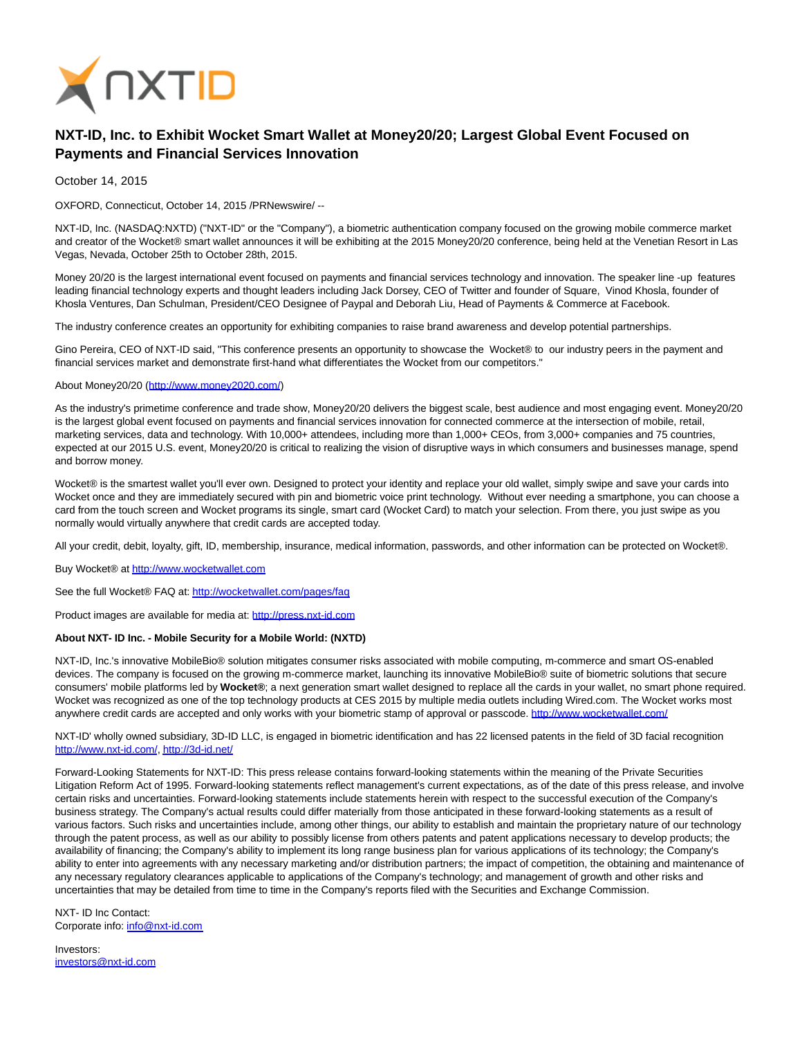

## **NXT-ID, Inc. to Exhibit Wocket Smart Wallet at Money20/20; Largest Global Event Focused on Payments and Financial Services Innovation**

October 14, 2015

OXFORD, Connecticut, October 14, 2015 /PRNewswire/ --

NXT-ID, Inc. (NASDAQ:NXTD) ("NXT-ID" or the "Company"), a biometric authentication company focused on the growing mobile commerce market and creator of the Wocket® smart wallet announces it will be exhibiting at the 2015 Money20/20 conference, being held at the Venetian Resort in Las Vegas, Nevada, October 25th to October 28th, 2015.

Money 20/20 is the largest international event focused on payments and financial services technology and innovation. The speaker line -up features leading financial technology experts and thought leaders including Jack Dorsey, CEO of Twitter and founder of Square, Vinod Khosla, founder of Khosla Ventures, Dan Schulman, President/CEO Designee of Paypal and Deborah Liu, Head of Payments & Commerce at Facebook.

The industry conference creates an opportunity for exhibiting companies to raise brand awareness and develop potential partnerships.

Gino Pereira, CEO of NXT-ID said, "This conference presents an opportunity to showcase the Wocket® to our industry peers in the payment and financial services market and demonstrate first-hand what differentiates the Wocket from our competitors."

## About Money20/20 [\(http://www.money2020.com/\)](http://www.money2020.com/)

As the industry's primetime conference and trade show, Money20/20 delivers the biggest scale, best audience and most engaging event. Money20/20 is the largest global event focused on payments and financial services innovation for connected commerce at the intersection of mobile, retail, marketing services, data and technology. With 10,000+ attendees, including more than 1,000+ CEOs, from 3,000+ companies and 75 countries, expected at our 2015 U.S. event, Money20/20 is critical to realizing the vision of disruptive ways in which consumers and businesses manage, spend and borrow money.

Wocket® is the smartest wallet you'll ever own. Designed to protect your identity and replace your old wallet, simply swipe and save your cards into Wocket once and they are immediately secured with pin and biometric voice print technology. Without ever needing a smartphone, you can choose a card from the touch screen and Wocket programs its single, smart card (Wocket Card) to match your selection. From there, you just swipe as you normally would virtually anywhere that credit cards are accepted today.

All your credit, debit, loyalty, gift, ID, membership, insurance, medical information, passwords, and other information can be protected on Wocket®.

Buy Wocket® at [http://www.wocketwallet.com](http://www.wocketwallet.com/)

See the full Wocket® FAQ at:<http://wocketwallet.com/pages/faq>

Product images are available for media at: [http://press.nxt-id.com](http://press.nxt-id.com/)

## **About NXT- ID Inc. - Mobile Security for a Mobile World: (NXTD)**

NXT-ID, Inc.'s innovative MobileBio® solution mitigates consumer risks associated with mobile computing, m-commerce and smart OS-enabled devices. The company is focused on the growing m-commerce market, launching its innovative MobileBio® suite of biometric solutions that secure consumers' mobile platforms led by **Wocket®**; a next generation smart wallet designed to replace all the cards in your wallet, no smart phone required. Wocket was recognized as one of the top technology products at CES 2015 by multiple media outlets including Wired.com. The Wocket works most anywhere credit cards are accepted and only works with your biometric stamp of approval or passcode.<http://www.wocketwallet.com/>

NXT-ID' wholly owned subsidiary, 3D-ID LLC, is engaged in biometric identification and has 22 licensed patents in the field of 3D facial recognition [http://www.nxt-id.com/,](http://www.nxt-id.com/)<http://3d-id.net/>

Forward-Looking Statements for NXT-ID: This press release contains forward-looking statements within the meaning of the Private Securities Litigation Reform Act of 1995. Forward-looking statements reflect management's current expectations, as of the date of this press release, and involve certain risks and uncertainties. Forward-looking statements include statements herein with respect to the successful execution of the Company's business strategy. The Company's actual results could differ materially from those anticipated in these forward-looking statements as a result of various factors. Such risks and uncertainties include, among other things, our ability to establish and maintain the proprietary nature of our technology through the patent process, as well as our ability to possibly license from others patents and patent applications necessary to develop products; the availability of financing; the Company's ability to implement its long range business plan for various applications of its technology; the Company's ability to enter into agreements with any necessary marketing and/or distribution partners; the impact of competition, the obtaining and maintenance of any necessary regulatory clearances applicable to applications of the Company's technology; and management of growth and other risks and uncertainties that may be detailed from time to time in the Company's reports filed with the Securities and Exchange Commission.

NXT- ID Inc Contact: Corporate info: [info@nxt-id.com](mailto:info@nxt-id.com)

Investors: [investors@nxt-id.com](mailto:investors@nxt-id.com)